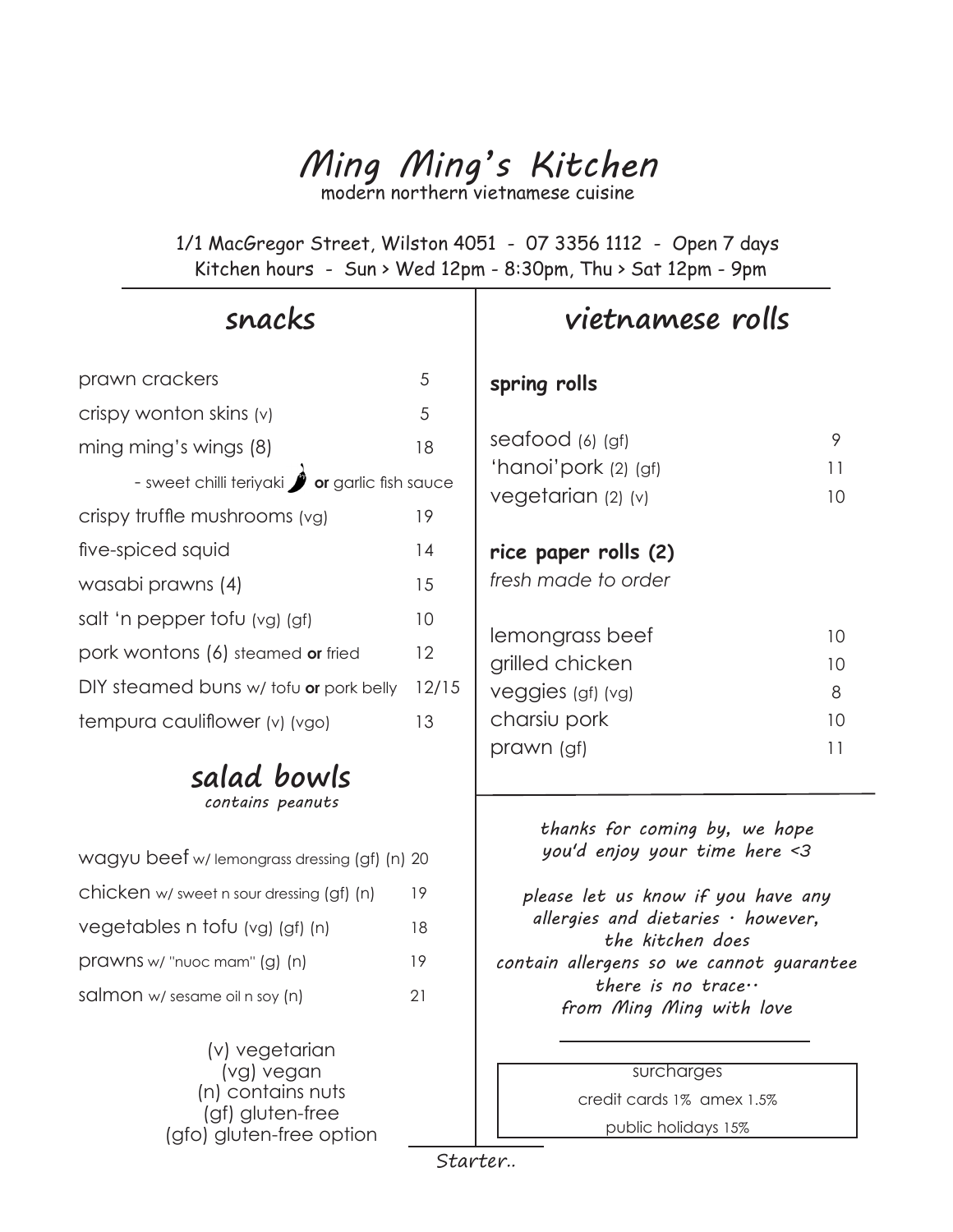## *Ming Ming's Kitchen* modern northern vietnamese cuisine

1/1 MacGregor Street, Wilston 4051 - 07 3356 1112 - Open 7 days Kitchen hours - Sun > Wed 12pm - 8:30pm, Thu > Sat 12pm - 9pm

## **snacks**

| prawn crackers                               | 5     |
|----------------------------------------------|-------|
| crispy wonton skins (v)                      | 5     |
| ming ming's wings (8)                        | 18    |
| - sweet chilli teriyaki or garlic fish sauce |       |
| crispy truffle mushrooms (vg)                | 19    |
| five-spiced squid                            | 14    |
| wasabi prawns (4)                            | 15    |
| salt 'n pepper tofu (vg) (gf)                | 10    |
| pork wontons (6) steamed or fried            | 12    |
| DIY steamed buns w/ tofu or pork belly       | 12/15 |
| tempura cauliflower (v) (vgo)                | 13    |

### **salad bowls** *contains peanuts*

| wagyu beef w/lemongrass dressing (gf) (n) 20 |    |
|----------------------------------------------|----|
| chicken w/ sweet n sour dressing (gf) (n)    | 19 |
| vegetables n tofu (vg) (gf) (n)              | 18 |
| $prox$ muoc mam" $(g)$ $(n)$                 | 19 |
| salmon w/ sesame oil n soy (n)               | 21 |

(v) vegetarian (vg) vegan (n) contains nuts (gf) gluten-free (gfo) gluten-free option

## **vietnamese rolls**

#### **spring rolls**

| seafood $(6)$ $(9f)$                        | 9  |
|---------------------------------------------|----|
| 'hanoi'pork (2) (gf)                        | 11 |
| vegetarian (2) (v)                          | 10 |
| rice paper rolls (2)<br>fresh made to order |    |
| lemongrass beef                             | 10 |
| grilled chicken                             | 10 |
| veggies (gf) (vg)                           | 8  |
| charsiu pork                                | 10 |
| prawn (gf)                                  | 11 |

*thanks for coming by, we hope you'd enjoy your time here <3*

*please let us know if you have any allergies and dietaries . however, the kitchen does contain allergens so we cannot guarantee there is no trace.. from Ming Ming with love*

#### surcharges

credit cards 1% amex 1.5%

public holidays 15%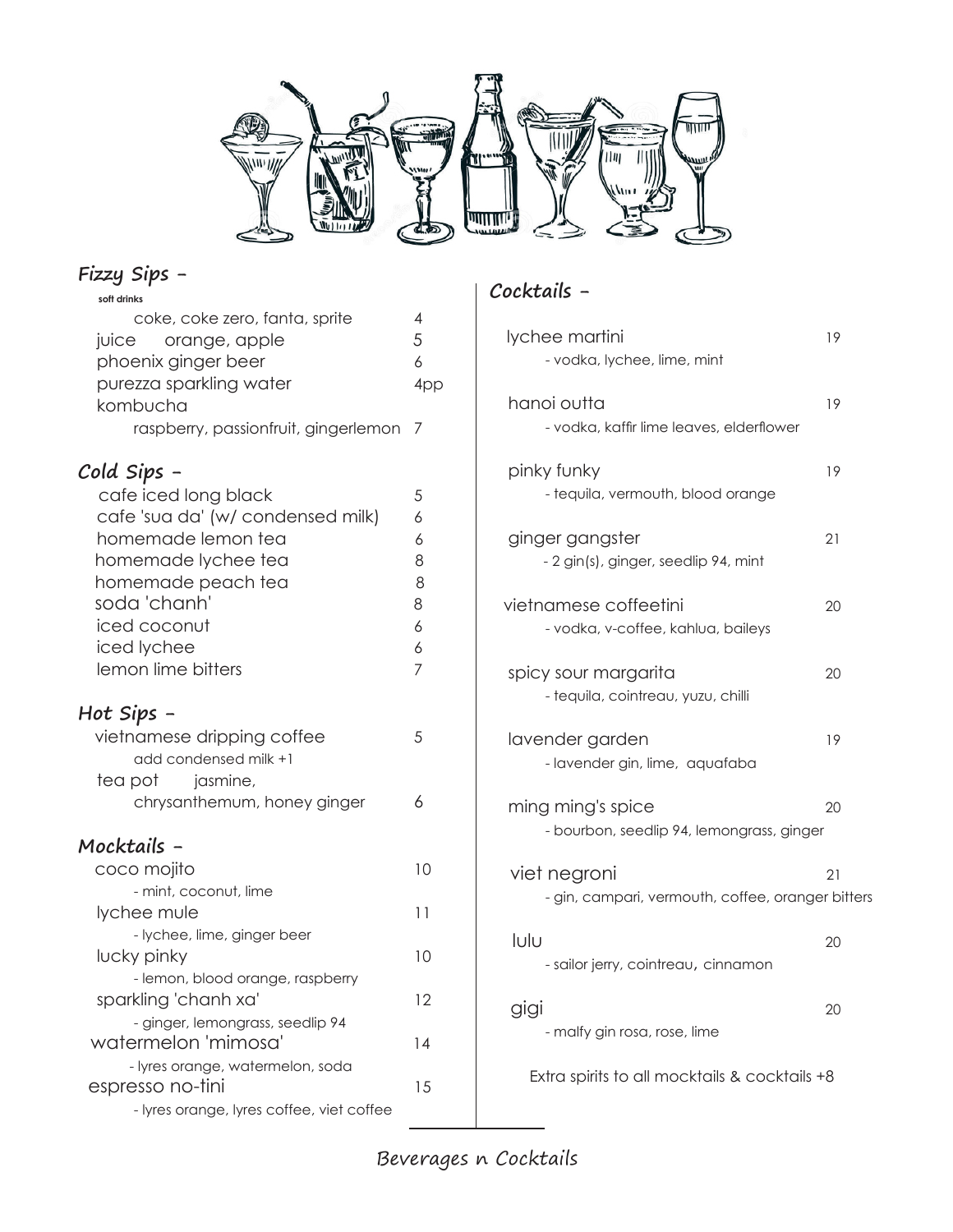

#### **Fizzy Sips -**

| soft drinks                               |     |
|-------------------------------------------|-----|
| coke, coke zero, fanta, sprite            | 4   |
| juice orange, apple                       | 5   |
| phoenix ginger beer                       | 6   |
| purezza sparkling water                   | 4pp |
| kombucha                                  |     |
| raspberry, passionfruit, gingerlemon      | 7   |
| Cold Sips -                               |     |
| cafe iced long black                      | 5   |
| cafe 'sua da' (w/ condensed milk)         | 6   |
| homemade lemon tea                        | 6   |
| homemade lychee tea                       | 8   |
| homemade peach tea                        | 8   |
| soda 'chanh'                              | 8   |
| iced coconut                              | 6   |
| iced lychee                               | 6   |
| lemon lime bitters                        | 7   |
| Hot Sips -                                |     |
| vietnamese dripping coffee                | 5   |
| add condensed milk +1                     |     |
| tea pot<br>jasmine,                       |     |
| chrysanthemum, honey ginger               | 6   |
| Mocktails -                               |     |
| coco mojito                               | 10  |
| - mint, coconut, lime                     |     |
| lychee mule                               | 11  |
| - lychee, lime, ginger beer               |     |
| lucky pinky                               | 10  |
| - lemon, blood orange, raspberry          |     |
| sparkling 'chanh xa'                      | 12  |
| - ginger, lemongrass, seedlip 94          |     |
| watermelon 'mimosa'                       | 14  |
| - lyres orange, watermelon, soda          |     |
| espresso no-tini                          | 15  |
| - lyres orange, lyres coffee, viet coffee |     |

## **Cocktails -**

| lychee martini<br>- vodka, lychee, lime, mint                     | 19 |
|-------------------------------------------------------------------|----|
| hanoi outta<br>- vodka, kaffir lime leaves, elderflower           | 19 |
| pinky funky<br>- tequila, vermouth, blood orange                  | 19 |
| ginger gangster<br>- 2 gin(s), ginger, seedlip 94, mint           | 21 |
| vietnamese coffeetini<br>- vodka, v-coffee, kahlua, baileys       | 20 |
| spicy sour margarita<br>- tequila, cointreau, yuzu, chilli        | 20 |
| lavender garden<br>- lavender gin, lime, aquafaba                 | 19 |
| ming ming's spice<br>- bourbon, seedlip 94, lemongrass, ginger    | 20 |
| viet negroni<br>- gin, campari, vermouth, coffee, oranger bitters | 21 |
| lulu<br>- sailor jerry, cointreau, cinnamon                       | 20 |
| gigi<br>- malfy gin rosa, rose, lime                              | 20 |
| Extra spirits to all mocktails & cocktails +8                     |    |

Beverages n Cocktails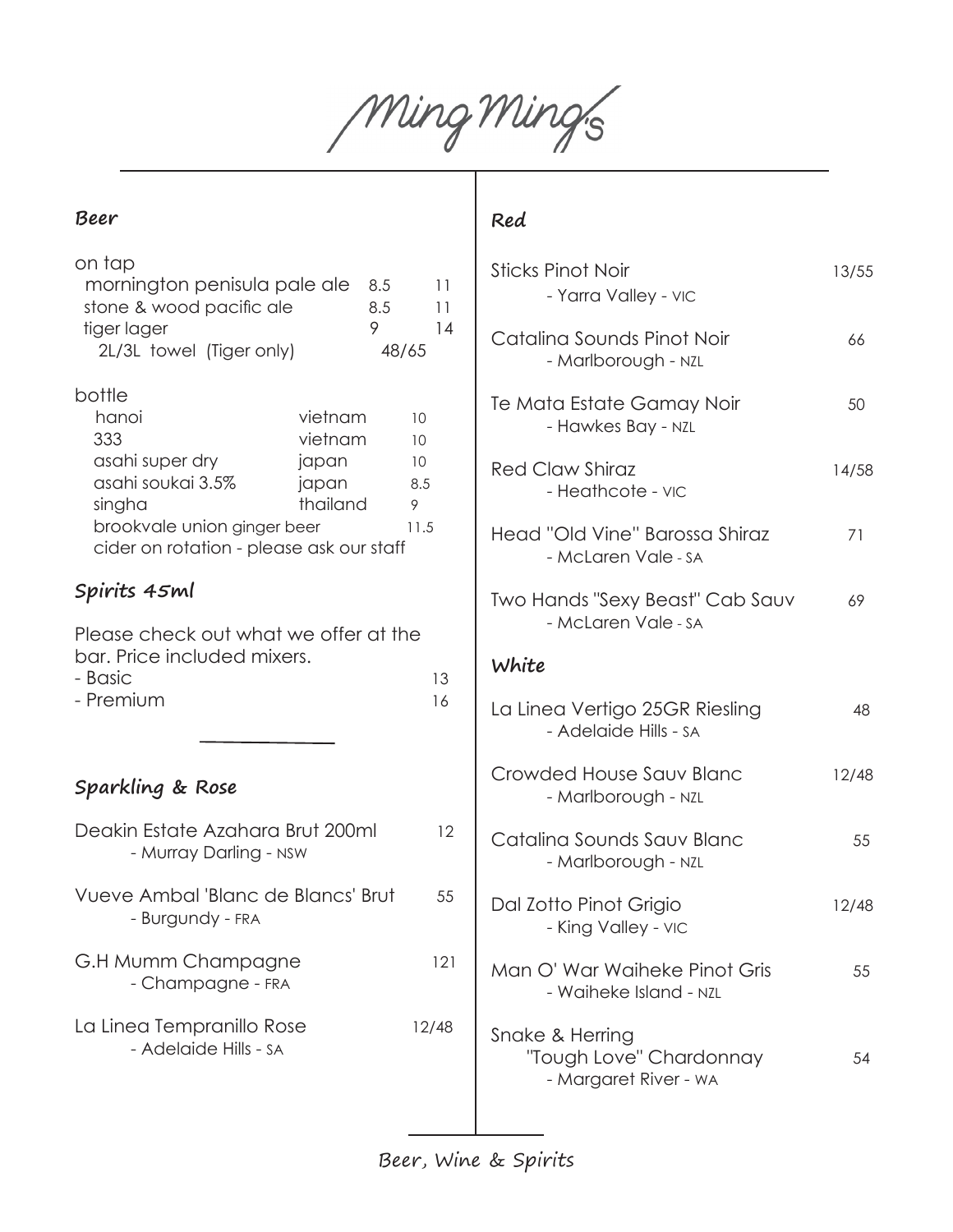Ming Ming's

#### **Beer**

| on tap<br>mornington penisula pale ale<br>stone & wood pacific ale<br>tiger lager<br>2L/3L towel (Tiger only)                                       | 8.5<br>8.5<br>9                                  | 11<br>11<br>14<br>48/65            |
|-----------------------------------------------------------------------------------------------------------------------------------------------------|--------------------------------------------------|------------------------------------|
| bottle<br>hanoi<br>333<br>asahi super dry<br>asahi soukai 3.5%<br>singha<br>brookvale union ginger beer<br>cider on rotation - please ask our staff | vietnam<br>vietnam<br>japan<br>japan<br>thailand | 10<br>10<br>10<br>8.5<br>9<br>11.5 |
| Spirits 45ml                                                                                                                                        |                                                  |                                    |
| Please check out what we offer at the<br>bar. Price included mixers.<br>- Basic<br>- Premium<br>Sparkling & Rose                                    |                                                  | 13<br>16                           |
| Deakin Estate Azahara Brut 200ml<br>- Murray Darling - NSW                                                                                          |                                                  | 12                                 |
| Vueve Ambal 'Blanc de Blancs' Brut<br>- Burgundy - FRA                                                                                              |                                                  | 55                                 |
| G.H Mumm Champagne<br>- Champagne - FRA                                                                                                             |                                                  | 121                                |
| La Linea Tempranillo Rose<br>- Adelaide Hills - SA                                                                                                  |                                                  | 12/48                              |
|                                                                                                                                                     |                                                  |                                    |

#### **Red**

| <b>Sticks Pinot Noir</b><br>- Yarra Valley - VIC        | 13/55 |
|---------------------------------------------------------|-------|
| Catalina Sounds Pinot Noir<br>- Marlborough - NZL       | 66    |
| Te Mata Estate Gamay Noir<br>- Hawkes Bay - NZL         | 50    |
| <b>Red Claw Shiraz</b><br>- Heathcote - VIC             | 14/58 |
| Head "Old Vine" Barossa Shiraz<br>- McLaren Vale - SA   | 71    |
| Two Hands "Sexy Beast" Cab Sauv<br>- McLaren Vale - SA  | 69    |
| White                                                   |       |
| La Linea Vertigo 25GR Riesling                          |       |
| - Adelaide Hills - SA                                   | 48    |
| Crowded House Sauv Blanc<br>- Marlborough - NZL         | 12/48 |
| Catalina Sounds Sauv Blanc<br>- Marlborough - NZL       | 55    |
| Dal Zotto Pinot Grigio<br>- King Valley - VIC           | 12/48 |
| Man O' War Waiheke Pinot Gris<br>- Waiheke Island - NZL | 55    |

Beer, Wine & Spirits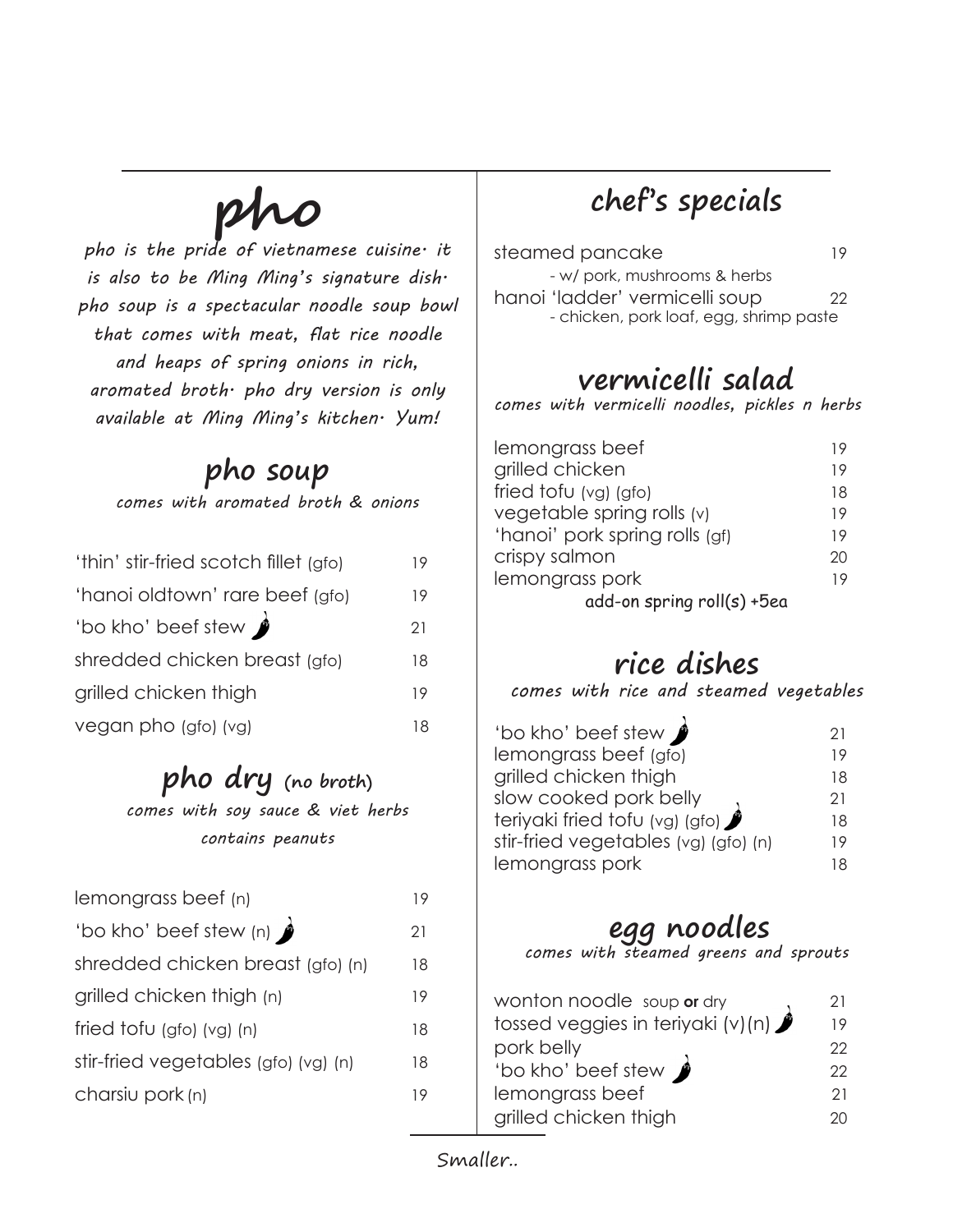# **pho**

*pho is the pride of vietnamese cuisine. it is also to be Ming Ming's signature dish. pho soup is a spectacular noodle soup bowl that comes with meat, flat rice noodle and heaps of spring onions in rich, aromated broth. pho dry version is only available at Ming Ming's kitchen. Yum!*

## **pho soup**

*comes with aromated broth & onions*

| 'thin' stir-fried scotch fillet (gfo) | 19 |
|---------------------------------------|----|
| 'hanoi oldtown' rare beef (gfo)       | 19 |
| 'bo kho' beef stew                    | 21 |
| shredded chicken breast (gfo)         | 18 |
| grilled chicken thigh                 | 19 |
| vegan pho (gfo) (vg)                  | 18 |

## **pho dry (no broth)**

*comes with soy sauce & viet herbs contains peanuts*

| lemongrass beef (n)                  | 19 |
|--------------------------------------|----|
| 'bo kho' beef stew (n)               | 21 |
| shredded chicken breast (gfo) (n)    | 18 |
| grilled chicken thigh (n)            | 19 |
| fried $f$ ofu (gfo) (vg) (n)         | 18 |
| stir-fried vegetables (gfo) (vg) (n) | 18 |
| charsiu pork (n)                     | 19 |

## **chef's specials**

| steamed pancake                         | 19 |
|-----------------------------------------|----|
| - w/ pork, mushrooms & herbs            |    |
| hanoi 'ladder' vermicelli soup          | 22 |
| - chicken, pork loaf, egg, shrimp paste |    |

## **vermicelli salad**

*comes with vermicelli noodles, pickles n herbs*

| lemongrass beef                | 19 |
|--------------------------------|----|
| grilled chicken                | 19 |
| fried tofu $(vg)$ (gfo)        | 18 |
| vegetable spring rolls (v)     | 19 |
| 'hanoi' pork spring rolls (gf) | 19 |
| crispy salmon                  | 20 |
| lemongrass pork                | 19 |
| add-on spring roll(s) +5ea     |    |

## **rice dishes**

*comes with rice and steamed vegetables*

| 'bo kho' beef stew                   | 21  |
|--------------------------------------|-----|
| lemongrass beef (gfo)                | 19  |
| grilled chicken thigh                | 18  |
| slow cooked pork belly               | 21  |
| teriyaki fried tofu (vg) (gfo)       | 18. |
| stir-fried vegetables (vg) (gfo) (n) | 19  |
| lemongrass pork                      | 18. |
|                                      |     |

**egg noodles** *comes with steamed greens and sprouts*

| wonton noodle soup or dry         | 21  |
|-----------------------------------|-----|
| tossed veggies in teriyaki (v)(n) | 19  |
| pork belly                        | 22. |
| 'bo kho' beef stew                | 22  |
| lemongrass beef                   | 21  |
| grilled chicken thigh             | 20  |

Smaller..